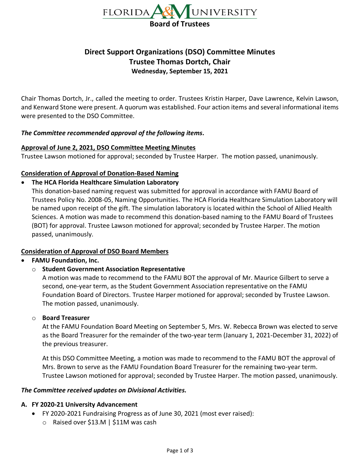

# **Direct Support Organizations (DSO) Committee Minutes Trustee Thomas Dortch, Chair Wednesday, September 15, 2021**

Chair Thomas Dortch, Jr., called the meeting to order. Trustees Kristin Harper, Dave Lawrence, Kelvin Lawson, and Kenward Stone were present. A quorum was established. Four action items and several informational items were presented to the DSO Committee.

### *The Committee recommended approval of the following items.*

#### **Approval of June 2, 2021, DSO Committee Meeting Minutes**

Trustee Lawson motioned for approval; seconded by Trustee Harper. The motion passed, unanimously.

### **Consideration of Approval of Donation-Based Naming**

# • **The HCA Florida Healthcare Simulation Laboratory**

This donation-based naming request was submitted for approval in accordance with FAMU Board of Trustees Policy No. 2008-05, Naming Opportunities. The HCA Florida Healthcare Simulation Laboratory will be named upon receipt of the gift. The simulation laboratory is located within the School of Allied Health Sciences. A motion was made to recommend this donation-based naming to the FAMU Board of Trustees (BOT) for approval. Trustee Lawson motioned for approval; seconded by Trustee Harper. The motion passed, unanimously.

#### **Consideration of Approval of DSO Board Members**

# • **FAMU Foundation, Inc.**

# o **Student Government Association Representative**

A motion was made to recommend to the FAMU BOT the approval of Mr. Maurice Gilbert to serve a second, one-year term, as the Student Government Association representative on the FAMU Foundation Board of Directors. Trustee Harper motioned for approval; seconded by Trustee Lawson. The motion passed, unanimously.

#### o **Board Treasurer**

At the FAMU Foundation Board Meeting on September 5, Mrs. W. Rebecca Brown was elected to serve as the Board Treasurer for the remainder of the two-year term (January 1, 2021-December 31, 2022) of the previous treasurer.

At this DSO Committee Meeting, a motion was made to recommend to the FAMU BOT the approval of Mrs. Brown to serve as the FAMU Foundation Board Treasurer for the remaining two-year term. Trustee Lawson motioned for approval; seconded by Trustee Harper. The motion passed, unanimously.

#### *The Committee received updates on Divisional Activities.*

#### **A. FY 2020-21 University Advancement**

- FY 2020-2021 Fundraising Progress as of June 30, 2021 (most ever raised):
	- o Raised over \$13.M | \$11M was cash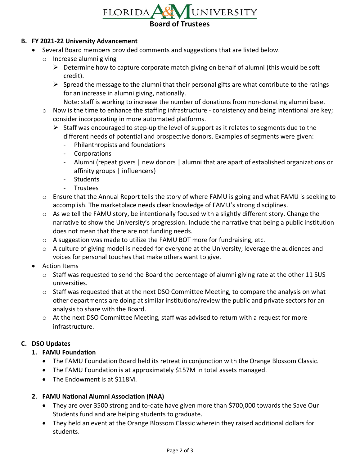

### **B. FY 2021-22 University Advancement**

- Several Board members provided comments and suggestions that are listed below.
	- o Increase alumni giving
		- $\triangleright$  Determine how to capture corporate match giving on behalf of alumni (this would be soft credit).
		- $\triangleright$  Spread the message to the alumni that their personal gifts are what contribute to the ratings for an increase in alumni giving, nationally.
			- Note: staff is working to increase the number of donations from non-donating alumni base.
	- o Now is the time to enhance the staffing infrastructure consistency and being intentional are key; consider incorporating in more automated platforms.
		- $\triangleright$  Staff was encouraged to step-up the level of support as it relates to segments due to the different needs of potential and prospective donors. Examples of segments were given:
			- Philanthropists and foundations
			- Corporations
			- Alumni (repeat givers | new donors | alumni that are apart of established organizations or affinity groups | influencers)
			- Students
			- Trustees
	- o Ensure that the Annual Report tells the story of where FAMU is going and what FAMU is seeking to accomplish. The marketplace needs clear knowledge of FAMU's strong disciplines.
	- o As we tell the FAMU story, be intentionally focused with a slightly different story. Change the narrative to show the University's progression. Include the narrative that being a public institution does not mean that there are not funding needs.
	- $\circ$  A suggestion was made to utilize the FAMU BOT more for fundraising, etc.
	- $\circ$  A culture of giving model is needed for everyone at the University; leverage the audiences and voices for personal touches that make others want to give.
- Action Items
	- $\circ$  Staff was requested to send the Board the percentage of alumni giving rate at the other 11 SUS universities.
	- $\circ$  Staff was requested that at the next DSO Committee Meeting, to compare the analysis on what other departments are doing at similar institutions/review the public and private sectors for an analysis to share with the Board.
	- $\circ$  At the next DSO Committee Meeting, staff was advised to return with a request for more infrastructure.

# **C. DSO Updates**

# **1. FAMU Foundation**

- The FAMU Foundation Board held its retreat in conjunction with the Orange Blossom Classic.
- The FAMU Foundation is at approximately \$157M in total assets managed.
- The Endowment is at \$118M.

# **2. FAMU National Alumni Association (NAA)**

- They are over 3500 strong and to-date have given more than \$700,000 towards the Save Our Students fund and are helping students to graduate.
- They held an event at the Orange Blossom Classic wherein they raised additional dollars for students.